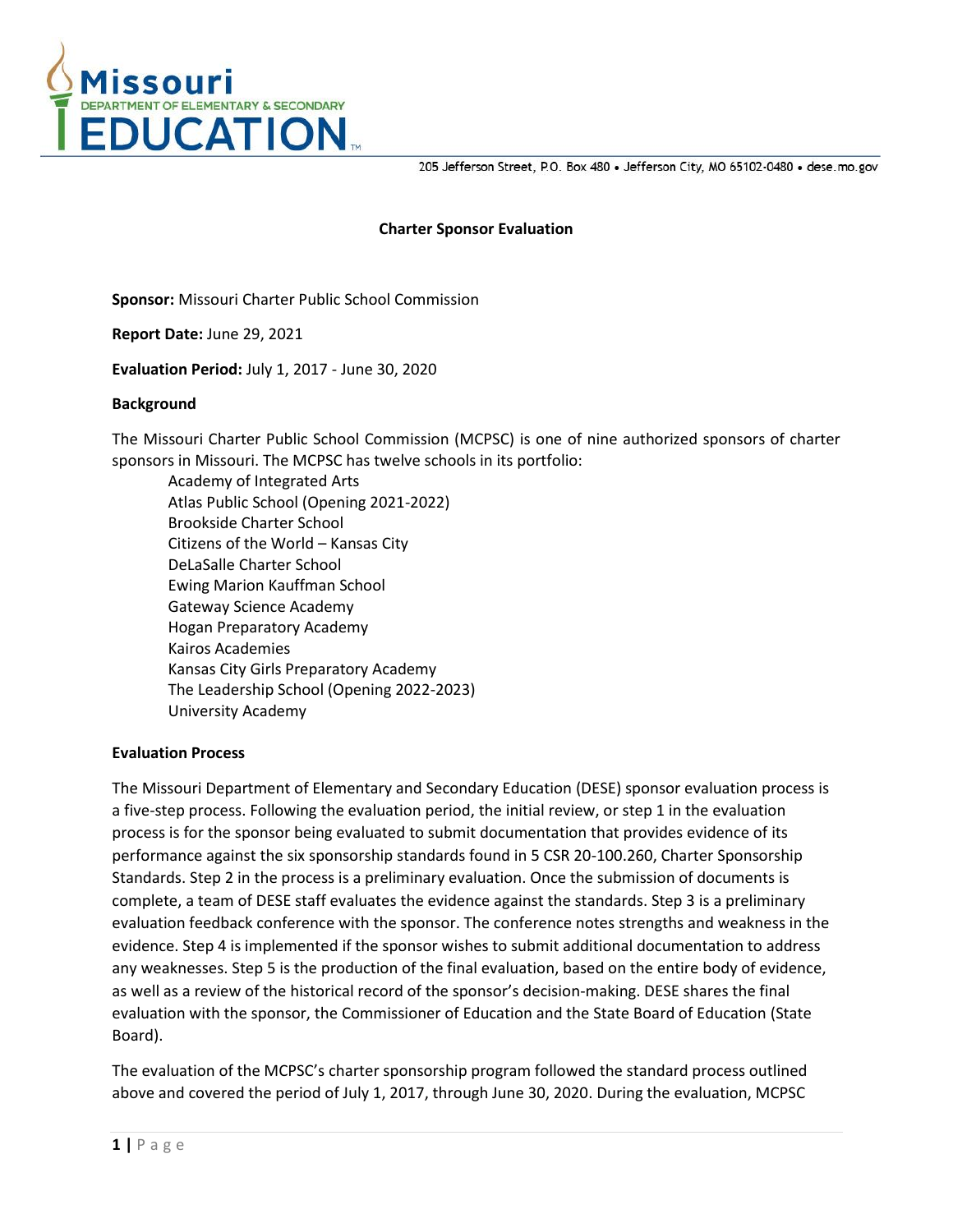

205 Jefferson Street, P.O. Box 480 . Jefferson City, MO 65102-0480 . dese.mo.gov

## **Charter Sponsor Evaluation**

**Sponsor:** Missouri Charter Public School Commission

**Report Date:** June 29, 2021

**Evaluation Period:** July 1, 2017 - June 30, 2020

#### **Background**

The Missouri Charter Public School Commission (MCPSC) is one of nine authorized sponsors of charter sponsors in Missouri. The MCPSC has twelve schools in its portfolio:

Academy of Integrated Arts Atlas Public School (Opening 2021-2022) Brookside Charter School Citizens of the World – Kansas City DeLaSalle Charter School Ewing Marion Kauffman School Gateway Science Academy Hogan Preparatory Academy Kairos Academies Kansas City Girls Preparatory Academy The Leadership School (Opening 2022-2023) University Academy

#### **Evaluation Process**

The Missouri Department of Elementary and Secondary Education (DESE) sponsor evaluation process is a five-step process. Following the evaluation period, the initial review, or step 1 in the evaluation process is for the sponsor being evaluated to submit documentation that provides evidence of its performance against the six sponsorship standards found in 5 CSR 20-100.260, Charter Sponsorship Standards. Step 2 in the process is a preliminary evaluation. Once the submission of documents is complete, a team of DESE staff evaluates the evidence against the standards. Step 3 is a preliminary evaluation feedback conference with the sponsor. The conference notes strengths and weakness in the evidence. Step 4 is implemented if the sponsor wishes to submit additional documentation to address any weaknesses. Step 5 is the production of the final evaluation, based on the entire body of evidence, as well as a review of the historical record of the sponsor's decision-making. DESE shares the final evaluation with the sponsor, the Commissioner of Education and the State Board of Education (State Board).

The evaluation of the MCPSC's charter sponsorship program followed the standard process outlined above and covered the period of July 1, 2017, through June 30, 2020. During the evaluation, MCPSC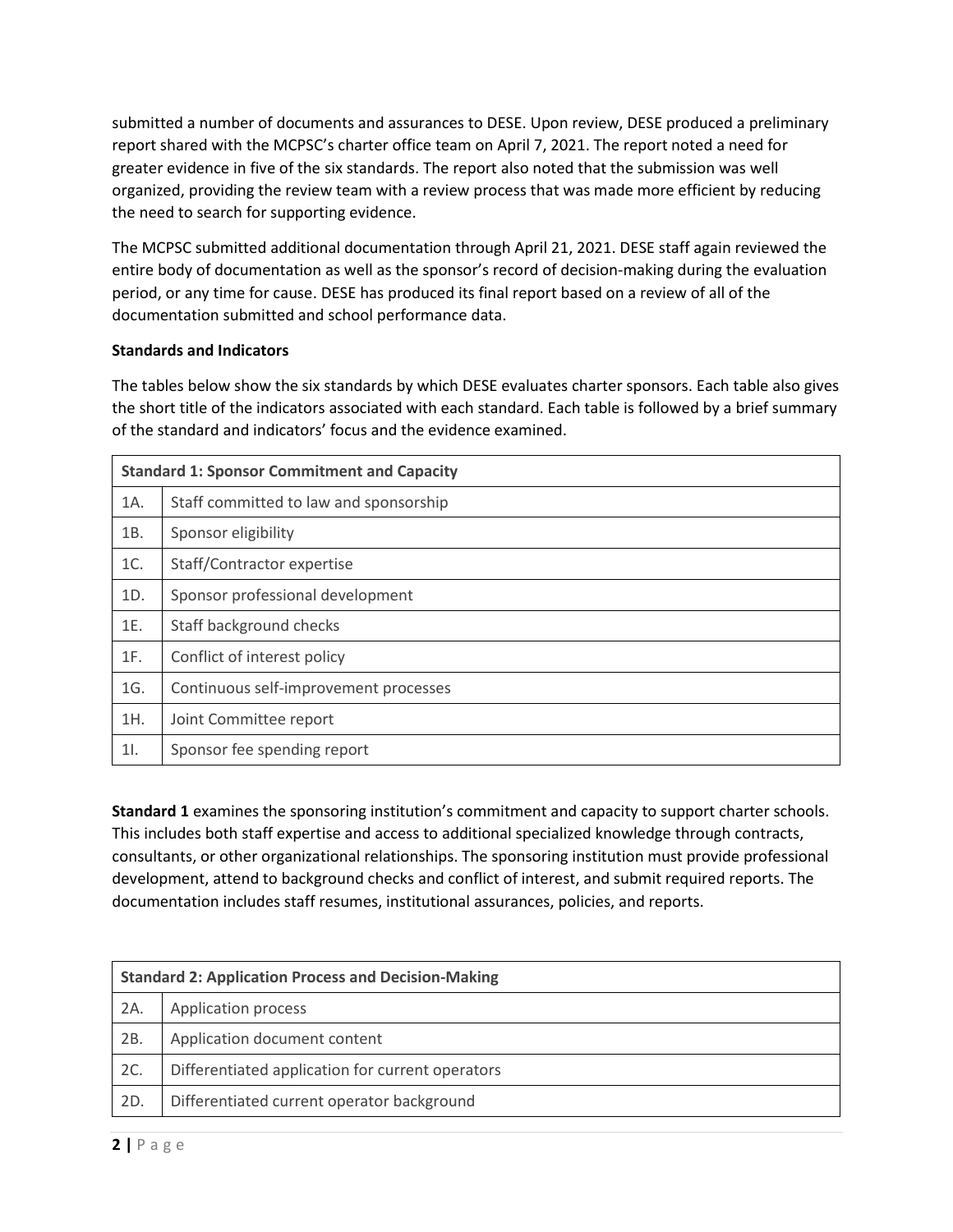submitted a number of documents and assurances to DESE. Upon review, DESE produced a preliminary report shared with the MCPSC's charter office team on April 7, 2021. The report noted a need for greater evidence in five of the six standards. The report also noted that the submission was well organized, providing the review team with a review process that was made more efficient by reducing the need to search for supporting evidence.

The MCPSC submitted additional documentation through April 21, 2021. DESE staff again reviewed the entire body of documentation as well as the sponsor's record of decision-making during the evaluation period, or any time for cause. DESE has produced its final report based on a review of all of the documentation submitted and school performance data.

# **Standards and Indicators**

The tables below show the six standards by which DESE evaluates charter sponsors. Each table also gives the short title of the indicators associated with each standard. Each table is followed by a brief summary of the standard and indicators' focus and the evidence examined.

| <b>Standard 1: Sponsor Commitment and Capacity</b> |                                        |
|----------------------------------------------------|----------------------------------------|
| 1A.                                                | Staff committed to law and sponsorship |
| 1B.                                                | Sponsor eligibility                    |
| 1C.                                                | Staff/Contractor expertise             |
| 1D.                                                | Sponsor professional development       |
| 1E.                                                | Staff background checks                |
| 1F.                                                | Conflict of interest policy            |
| 1G.                                                | Continuous self-improvement processes  |
| 1H.                                                | Joint Committee report                 |
| 11.                                                | Sponsor fee spending report            |

**Standard 1** examines the sponsoring institution's commitment and capacity to support charter schools. This includes both staff expertise and access to additional specialized knowledge through contracts, consultants, or other organizational relationships. The sponsoring institution must provide professional development, attend to background checks and conflict of interest, and submit required reports. The documentation includes staff resumes, institutional assurances, policies, and reports.

| <b>Standard 2: Application Process and Decision-Making</b> |                                                  |  |
|------------------------------------------------------------|--------------------------------------------------|--|
| 2A.                                                        | Application process                              |  |
| 2B.                                                        | Application document content                     |  |
| 2C.                                                        | Differentiated application for current operators |  |
| 2D.                                                        | Differentiated current operator background       |  |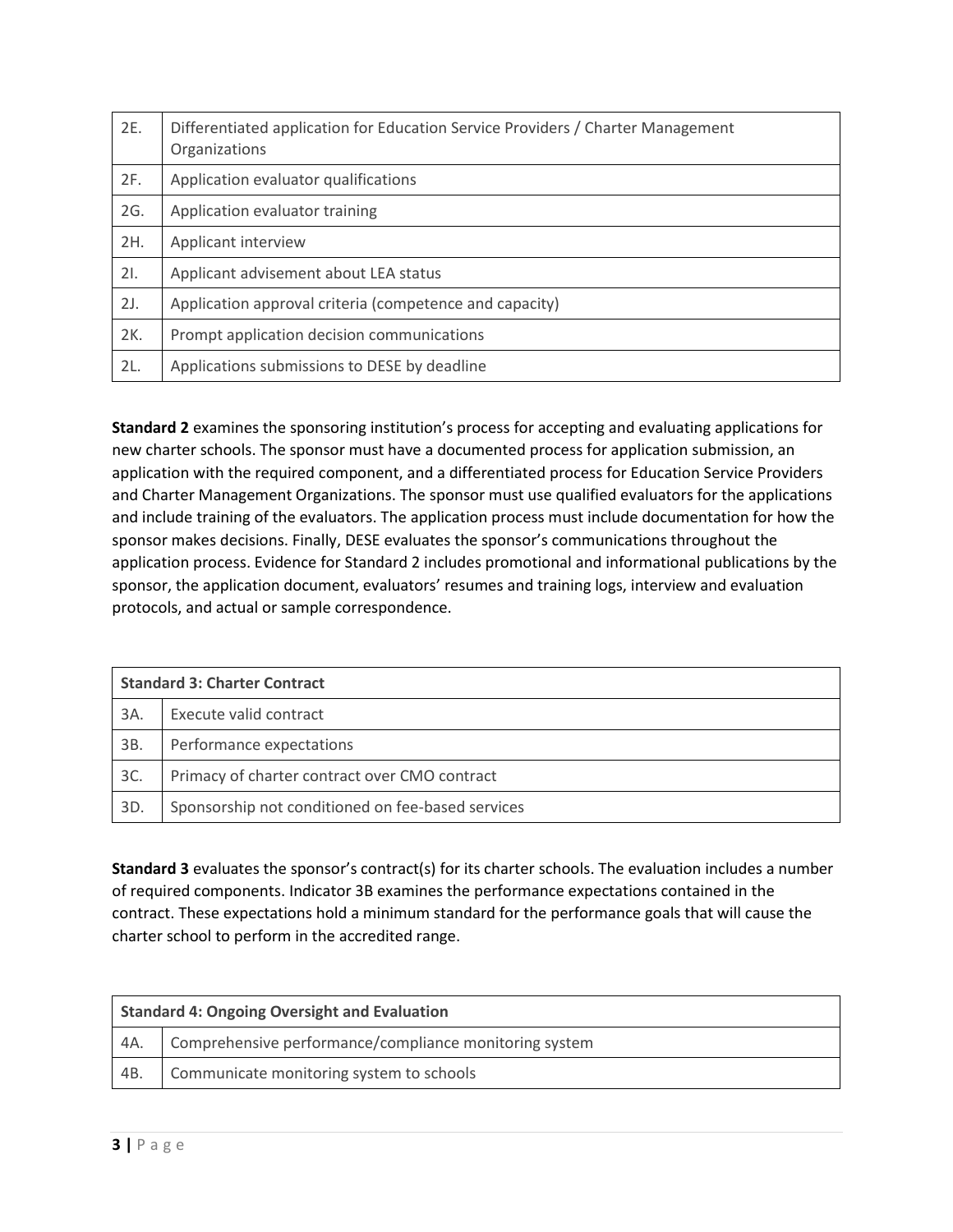| 2E. | Differentiated application for Education Service Providers / Charter Management<br>Organizations |
|-----|--------------------------------------------------------------------------------------------------|
| 2F. | Application evaluator qualifications                                                             |
| 2G. | Application evaluator training                                                                   |
| 2H. | Applicant interview                                                                              |
| 21. | Applicant advisement about LEA status                                                            |
| 2J. | Application approval criteria (competence and capacity)                                          |
| 2K. | Prompt application decision communications                                                       |
| 2L. | Applications submissions to DESE by deadline                                                     |

**Standard 2** examines the sponsoring institution's process for accepting and evaluating applications for new charter schools. The sponsor must have a documented process for application submission, an application with the required component, and a differentiated process for Education Service Providers and Charter Management Organizations. The sponsor must use qualified evaluators for the applications and include training of the evaluators. The application process must include documentation for how the sponsor makes decisions. Finally, DESE evaluates the sponsor's communications throughout the application process. Evidence for Standard 2 includes promotional and informational publications by the sponsor, the application document, evaluators' resumes and training logs, interview and evaluation protocols, and actual or sample correspondence.

| <b>Standard 3: Charter Contract</b> |                                                   |  |
|-------------------------------------|---------------------------------------------------|--|
| 3A.                                 | Execute valid contract                            |  |
| 3B.                                 | Performance expectations                          |  |
| 3C.                                 | Primacy of charter contract over CMO contract     |  |
| 3D.                                 | Sponsorship not conditioned on fee-based services |  |

**Standard 3** evaluates the sponsor's contract(s) for its charter schools. The evaluation includes a number of required components. Indicator 3B examines the performance expectations contained in the contract. These expectations hold a minimum standard for the performance goals that will cause the charter school to perform in the accredited range.

| <b>Standard 4: Ongoing Oversight and Evaluation</b> |                                                        |  |
|-----------------------------------------------------|--------------------------------------------------------|--|
| - 4A.                                               | Comprehensive performance/compliance monitoring system |  |
| 4B.                                                 | Communicate monitoring system to schools               |  |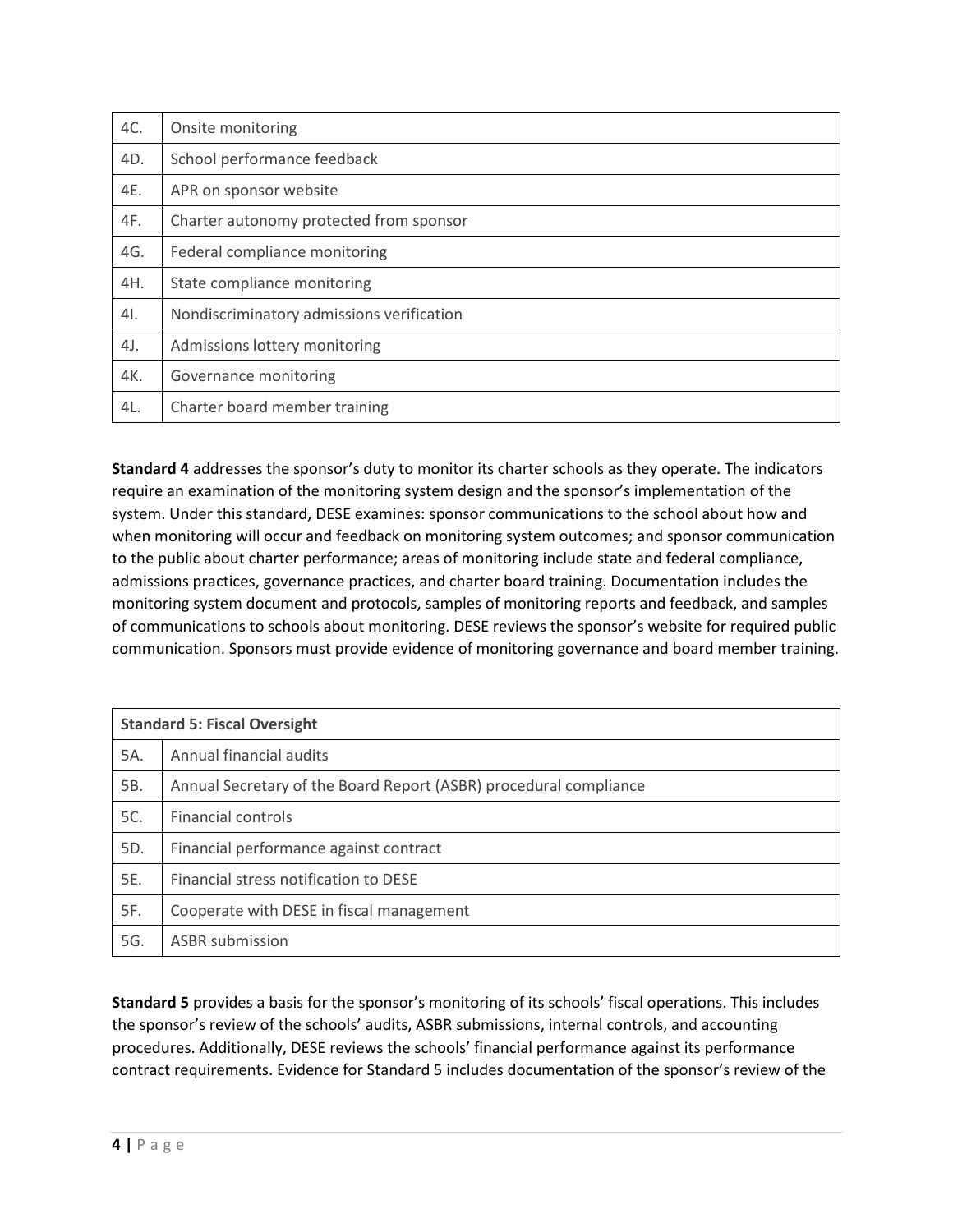| AC. | Onsite monitoring                         |
|-----|-------------------------------------------|
| 4D. | School performance feedback               |
| 4E. | APR on sponsor website                    |
| 4F. | Charter autonomy protected from sponsor   |
| 4G. | Federal compliance monitoring             |
| 4H. | State compliance monitoring               |
| 4l. | Nondiscriminatory admissions verification |
| 4J. | Admissions lottery monitoring             |
| 4K. | Governance monitoring                     |
| 4L. | Charter board member training             |

**Standard 4** addresses the sponsor's duty to monitor its charter schools as they operate. The indicators require an examination of the monitoring system design and the sponsor's implementation of the system. Under this standard, DESE examines: sponsor communications to the school about how and when monitoring will occur and feedback on monitoring system outcomes; and sponsor communication to the public about charter performance; areas of monitoring include state and federal compliance, admissions practices, governance practices, and charter board training. Documentation includes the monitoring system document and protocols, samples of monitoring reports and feedback, and samples of communications to schools about monitoring. DESE reviews the sponsor's website for required public communication. Sponsors must provide evidence of monitoring governance and board member training.

| <b>Standard 5: Fiscal Oversight</b> |                                                                   |
|-------------------------------------|-------------------------------------------------------------------|
| 5A.                                 | Annual financial audits                                           |
| 5B.                                 | Annual Secretary of the Board Report (ASBR) procedural compliance |
| 5C.                                 | Financial controls                                                |
| 5D.                                 | Financial performance against contract                            |
| 5E.                                 | Financial stress notification to DESE                             |
| 5F.                                 | Cooperate with DESE in fiscal management                          |
| 5G.                                 | <b>ASBR</b> submission                                            |

**Standard 5** provides a basis for the sponsor's monitoring of its schools' fiscal operations. This includes the sponsor's review of the schools' audits, ASBR submissions, internal controls, and accounting procedures. Additionally, DESE reviews the schools' financial performance against its performance contract requirements. Evidence for Standard 5 includes documentation of the sponsor's review of the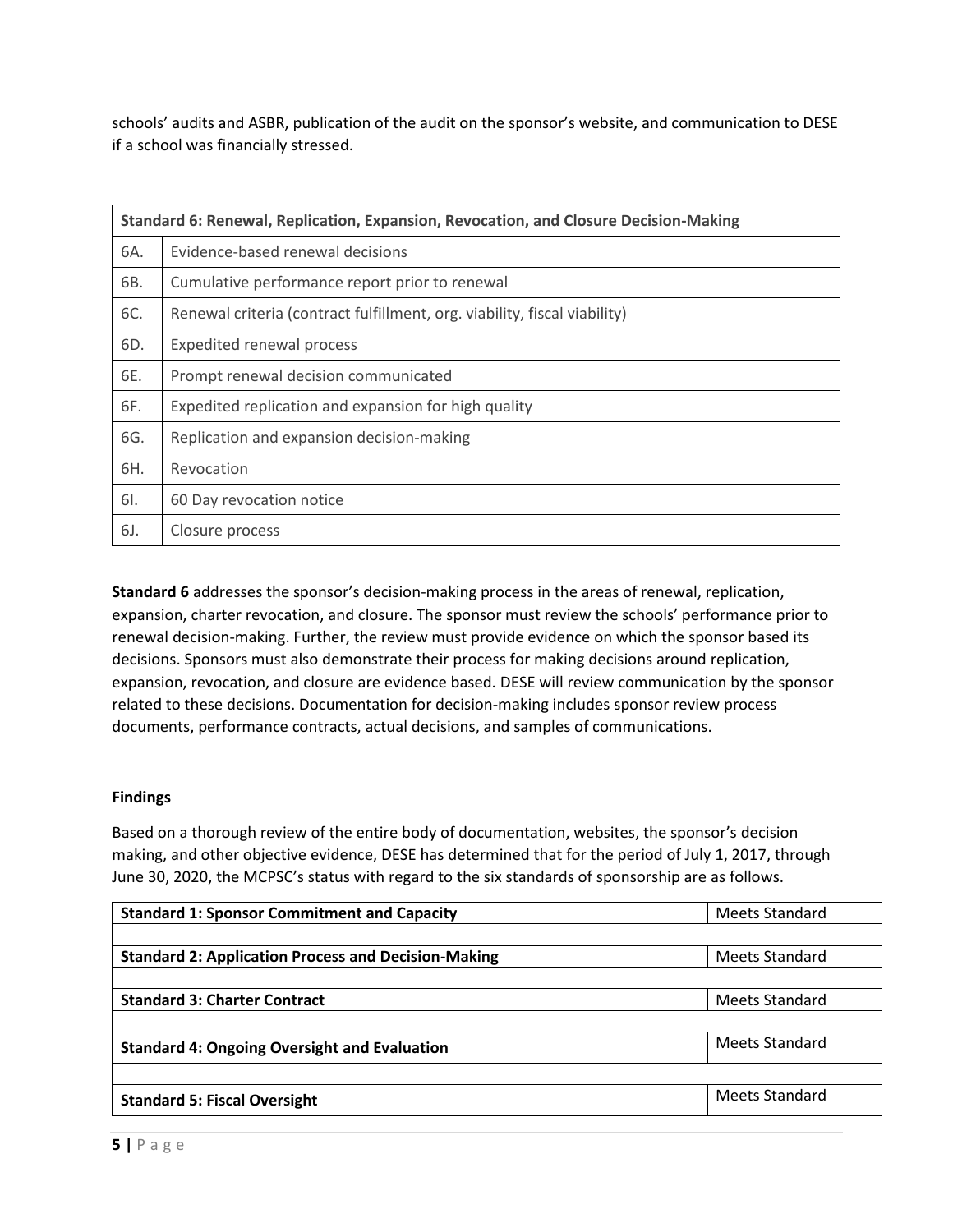schools' audits and ASBR, publication of the audit on the sponsor's website, and communication to DESE if a school was financially stressed.

| Standard 6: Renewal, Replication, Expansion, Revocation, and Closure Decision-Making |                                                                           |  |
|--------------------------------------------------------------------------------------|---------------------------------------------------------------------------|--|
| 6A.                                                                                  | Evidence-based renewal decisions                                          |  |
| 6B.                                                                                  | Cumulative performance report prior to renewal                            |  |
| 6C.                                                                                  | Renewal criteria (contract fulfillment, org. viability, fiscal viability) |  |
| 6D.                                                                                  | <b>Expedited renewal process</b>                                          |  |
| 6E.                                                                                  | Prompt renewal decision communicated                                      |  |
| 6F.                                                                                  | Expedited replication and expansion for high quality                      |  |
| 6G.                                                                                  | Replication and expansion decision-making                                 |  |
| 6H.                                                                                  | Revocation                                                                |  |
| 6I.                                                                                  | 60 Day revocation notice                                                  |  |
| 6J.                                                                                  | Closure process                                                           |  |

**Standard 6** addresses the sponsor's decision-making process in the areas of renewal, replication, expansion, charter revocation, and closure. The sponsor must review the schools' performance prior to renewal decision-making. Further, the review must provide evidence on which the sponsor based its decisions. Sponsors must also demonstrate their process for making decisions around replication, expansion, revocation, and closure are evidence based. DESE will review communication by the sponsor related to these decisions. Documentation for decision-making includes sponsor review process documents, performance contracts, actual decisions, and samples of communications.

# **Findings**

Based on a thorough review of the entire body of documentation, websites, the sponsor's decision making, and other objective evidence, DESE has determined that for the period of July 1, 2017, through June 30, 2020, the MCPSC's status with regard to the six standards of sponsorship are as follows.

| <b>Standard 1: Sponsor Commitment and Capacity</b>         | Meets Standard |
|------------------------------------------------------------|----------------|
|                                                            |                |
| <b>Standard 2: Application Process and Decision-Making</b> | Meets Standard |
|                                                            |                |
| <b>Standard 3: Charter Contract</b>                        | Meets Standard |
|                                                            |                |
| <b>Standard 4: Ongoing Oversight and Evaluation</b>        | Meets Standard |
|                                                            |                |
| <b>Standard 5: Fiscal Oversight</b>                        | Meets Standard |